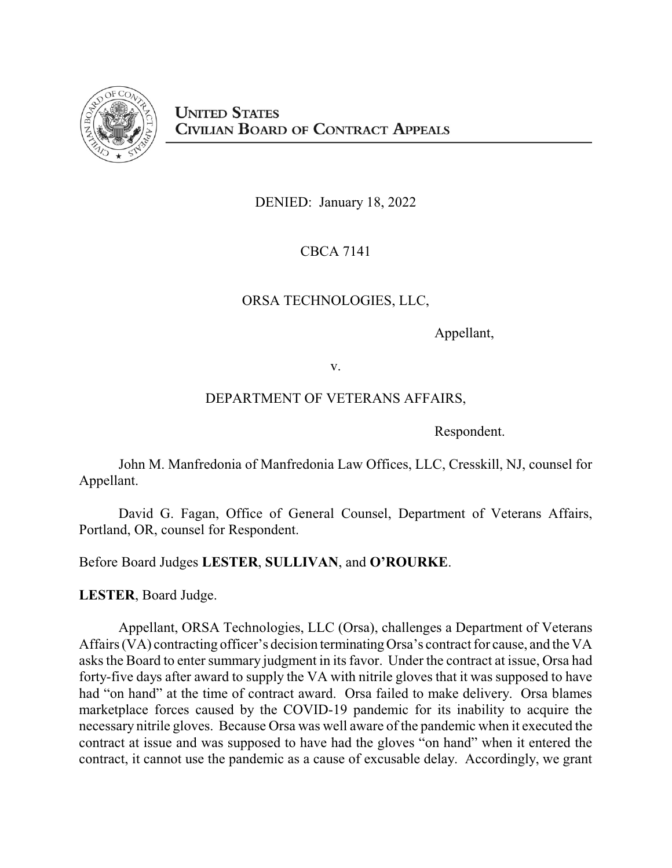

DENIED: January 18, 2022

CBCA 7141

# ORSA TECHNOLOGIES, LLC,

Appellant,

v.

# DEPARTMENT OF VETERANS AFFAIRS,

Respondent.

John M. Manfredonia of Manfredonia Law Offices, LLC, Cresskill, NJ, counsel for Appellant.

David G. Fagan, Office of General Counsel, Department of Veterans Affairs, Portland, OR, counsel for Respondent.

Before Board Judges **LESTER**, **SULLIVAN**, and **O'ROURKE**.

**LESTER**, Board Judge.

Appellant, ORSA Technologies, LLC (Orsa), challenges a Department of Veterans Affairs (VA) contracting officer's decision terminatingOrsa's contract for cause, and the VA asks the Board to enter summary judgment in its favor. Under the contract at issue, Orsa had forty-five days after award to supply the VA with nitrile gloves that it was supposed to have had "on hand" at the time of contract award. Orsa failed to make delivery. Orsa blames marketplace forces caused by the COVID-19 pandemic for its inability to acquire the necessary nitrile gloves. Because Orsa was well aware of the pandemic when it executed the contract at issue and was supposed to have had the gloves "on hand" when it entered the contract, it cannot use the pandemic as a cause of excusable delay. Accordingly, we grant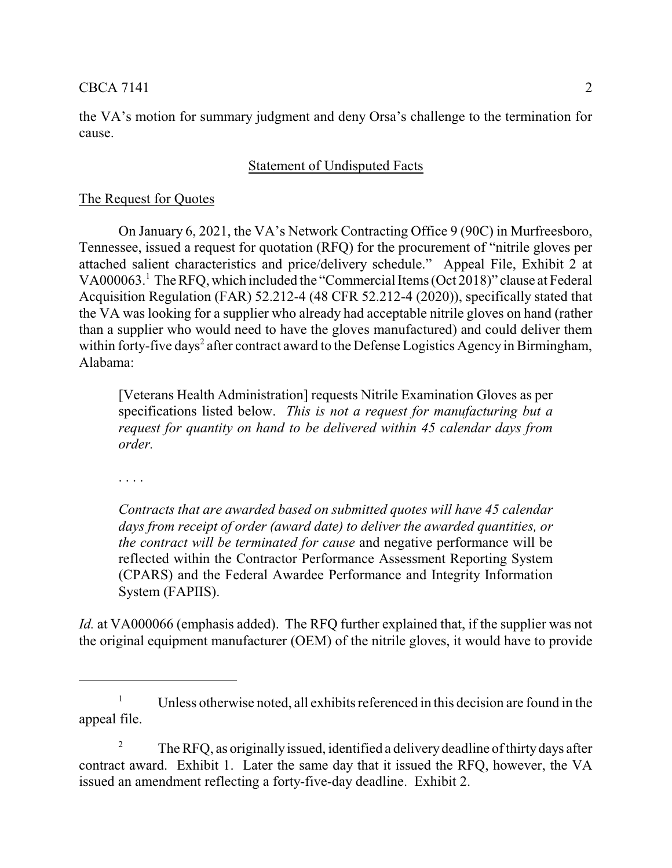the VA's motion for summary judgment and deny Orsa's challenge to the termination for cause.

# Statement of Undisputed Facts

# The Request for Quotes

On January 6, 2021, the VA's Network Contracting Office 9 (90C) in Murfreesboro, Tennessee, issued a request for quotation (RFQ) for the procurement of "nitrile gloves per attached salient characteristics and price/delivery schedule." Appeal File, Exhibit 2 at VA000063.<sup>1</sup> The RFQ, which included the "Commercial Items(Oct 2018)" clause at Federal Acquisition Regulation (FAR) 52.212-4 (48 CFR 52.212-4 (2020)), specifically stated that the VA was looking for a supplier who already had acceptable nitrile gloves on hand (rather than a supplier who would need to have the gloves manufactured) and could deliver them within forty-five days<sup>2</sup> after contract award to the Defense Logistics Agency in Birmingham, Alabama:

[Veterans Health Administration] requests Nitrile Examination Gloves as per specifications listed below. *This is not a request for manufacturing but a request for quantity on hand to be delivered within 45 calendar days from order.*

. . . .

*Contracts that are awarded based on submitted quotes will have 45 calendar days from receipt of order (award date) to deliver the awarded quantities, or the contract will be terminated for cause* and negative performance will be reflected within the Contractor Performance Assessment Reporting System (CPARS) and the Federal Awardee Performance and Integrity Information System (FAPIIS).

*Id.* at VA000066 (emphasis added). The RFQ further explained that, if the supplier was not the original equipment manufacturer (OEM) of the nitrile gloves, it would have to provide

<sup>&</sup>lt;sup>1</sup> Unless otherwise noted, all exhibits referenced in this decision are found in the appeal file.

<sup>&</sup>lt;sup>2</sup> The RFO, as originally issued, identified a delivery deadline of thirty days after contract award. Exhibit 1. Later the same day that it issued the RFQ, however, the VA issued an amendment reflecting a forty-five-day deadline. Exhibit 2.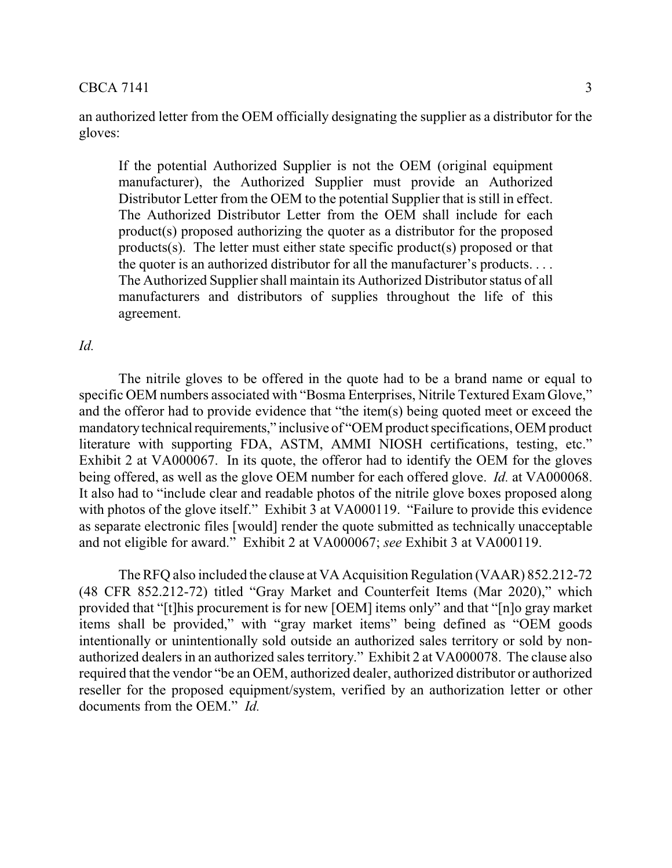an authorized letter from the OEM officially designating the supplier as a distributor for the gloves:

If the potential Authorized Supplier is not the OEM (original equipment manufacturer), the Authorized Supplier must provide an Authorized Distributor Letter from the OEM to the potential Supplier that is still in effect. The Authorized Distributor Letter from the OEM shall include for each product(s) proposed authorizing the quoter as a distributor for the proposed products(s). The letter must either state specific product(s) proposed or that the quoter is an authorized distributor for all the manufacturer's products. . . . The Authorized Supplier shall maintain its Authorized Distributor status of all manufacturers and distributors of supplies throughout the life of this agreement.

# *Id.*

The nitrile gloves to be offered in the quote had to be a brand name or equal to specific OEM numbers associated with "Bosma Enterprises, Nitrile Textured Exam Glove," and the offeror had to provide evidence that "the item(s) being quoted meet or exceed the mandatory technical requirements," inclusive of "OEM product specifications, OEM product literature with supporting FDA, ASTM, AMMI NIOSH certifications, testing, etc." Exhibit 2 at VA000067. In its quote, the offeror had to identify the OEM for the gloves being offered, as well as the glove OEM number for each offered glove. *Id.* at VA000068. It also had to "include clear and readable photos of the nitrile glove boxes proposed along with photos of the glove itself." Exhibit 3 at VA000119. "Failure to provide this evidence as separate electronic files [would] render the quote submitted as technically unacceptable and not eligible for award." Exhibit 2 at VA000067; *see* Exhibit 3 at VA000119.

The RFQ also included the clause at VA Acquisition Regulation (VAAR) 852.212-72 (48 CFR 852.212-72) titled "Gray Market and Counterfeit Items (Mar 2020)," which provided that "[t]his procurement is for new [OEM] items only" and that "[n]o gray market items shall be provided," with "gray market items" being defined as "OEM goods intentionally or unintentionally sold outside an authorized sales territory or sold by nonauthorized dealers in an authorized sales territory." Exhibit 2 at VA000078. The clause also required that the vendor "be an OEM, authorized dealer, authorized distributor or authorized reseller for the proposed equipment/system, verified by an authorization letter or other documents from the OEM." *Id.*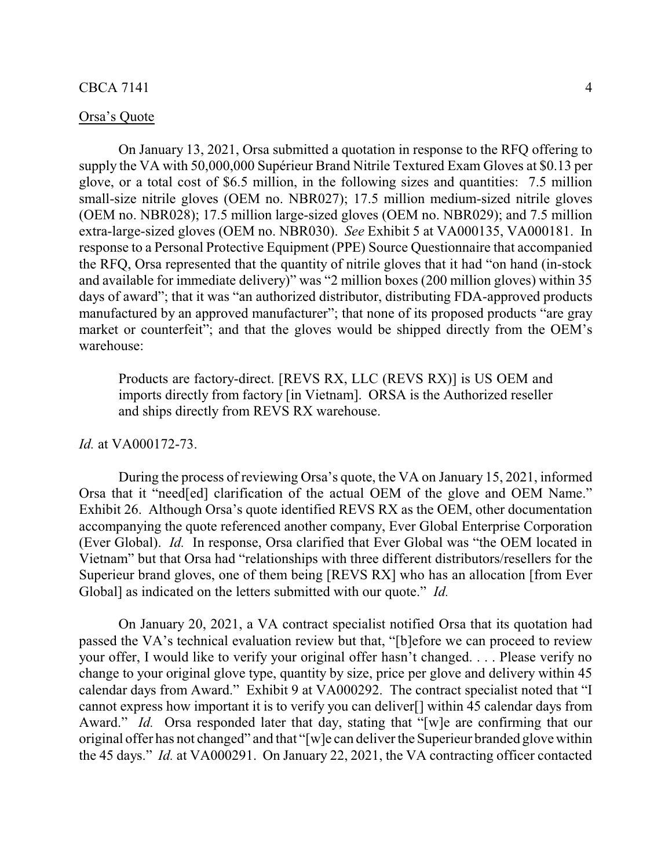#### Orsa's Quote

On January 13, 2021, Orsa submitted a quotation in response to the RFQ offering to supply the VA with 50,000,000 Supérieur Brand Nitrile Textured Exam Gloves at \$0.13 per glove, or a total cost of \$6.5 million, in the following sizes and quantities: 7.5 million small-size nitrile gloves (OEM no. NBR027); 17.5 million medium-sized nitrile gloves (OEM no. NBR028); 17.5 million large-sized gloves (OEM no. NBR029); and 7.5 million extra-large-sized gloves (OEM no. NBR030). *See* Exhibit 5 at VA000135, VA000181. In response to a Personal Protective Equipment (PPE) Source Questionnaire that accompanied the RFQ, Orsa represented that the quantity of nitrile gloves that it had "on hand (in-stock and available for immediate delivery)" was "2 million boxes (200 million gloves) within 35 days of award"; that it was "an authorized distributor, distributing FDA-approved products manufactured by an approved manufacturer"; that none of its proposed products "are gray market or counterfeit"; and that the gloves would be shipped directly from the OEM's warehouse:

Products are factory-direct. [REVS RX, LLC (REVS RX)] is US OEM and imports directly from factory [in Vietnam]. ORSA is the Authorized reseller and ships directly from REVS RX warehouse.

### *Id.* at VA000172-73.

During the process of reviewing Orsa's quote, the VA on January 15, 2021, informed Orsa that it "need[ed] clarification of the actual OEM of the glove and OEM Name." Exhibit 26. Although Orsa's quote identified REVS RX as the OEM, other documentation accompanying the quote referenced another company, Ever Global Enterprise Corporation (Ever Global). *Id.* In response, Orsa clarified that Ever Global was "the OEM located in Vietnam" but that Orsa had "relationships with three different distributors/resellers for the Superieur brand gloves, one of them being [REVS RX] who has an allocation [from Ever Global] as indicated on the letters submitted with our quote." *Id.*

On January 20, 2021, a VA contract specialist notified Orsa that its quotation had passed the VA's technical evaluation review but that, "[b]efore we can proceed to review your offer, I would like to verify your original offer hasn't changed. . . . Please verify no change to your original glove type, quantity by size, price per glove and delivery within 45 calendar days from Award." Exhibit 9 at VA000292. The contract specialist noted that "I cannot express how important it is to verify you can deliver[] within 45 calendar days from Award." *Id.* Orsa responded later that day, stating that "[w]e are confirming that our original offer has not changed" and that "[w]e can deliver the Superieur branded glove within the 45 days." *Id.* at VA000291. On January 22, 2021, the VA contracting officer contacted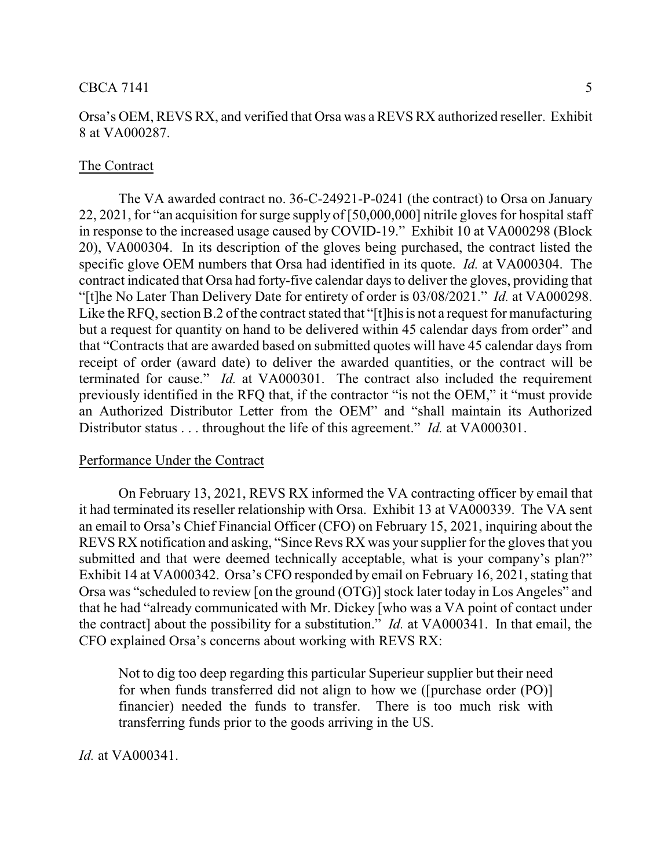#### The Contract

The VA awarded contract no. 36-C-24921-P-0241 (the contract) to Orsa on January 22, 2021, for "an acquisition for surge supply of [50,000,000] nitrile gloves for hospital staff in response to the increased usage caused by COVID-19." Exhibit 10 at VA000298 (Block 20), VA000304. In its description of the gloves being purchased, the contract listed the specific glove OEM numbers that Orsa had identified in its quote. *Id.* at VA000304. The contract indicated that Orsa had forty-five calendar days to deliver the gloves, providing that "[t]he No Later Than Delivery Date for entirety of order is 03/08/2021." *Id.* at VA000298. Like the RFQ, section B.2 of the contract stated that "[t]his is not a request for manufacturing but a request for quantity on hand to be delivered within 45 calendar days from order" and that "Contracts that are awarded based on submitted quotes will have 45 calendar days from receipt of order (award date) to deliver the awarded quantities, or the contract will be terminated for cause." *Id.* at VA000301. The contract also included the requirement previously identified in the RFQ that, if the contractor "is not the OEM," it "must provide an Authorized Distributor Letter from the OEM" and "shall maintain its Authorized Distributor status . . . throughout the life of this agreement." *Id.* at VA000301.

## Performance Under the Contract

On February 13, 2021, REVS RX informed the VA contracting officer by email that it had terminated its reseller relationship with Orsa. Exhibit 13 at VA000339. The VA sent an email to Orsa's Chief Financial Officer (CFO) on February 15, 2021, inquiring about the REVS RX notification and asking, "Since Revs RX was your supplier for the gloves that you submitted and that were deemed technically acceptable, what is your company's plan?" Exhibit 14 at VA000342. Orsa's CFO responded by email on February 16, 2021, stating that Orsa was "scheduled to review [on the ground (OTG)] stock later today in Los Angeles" and that he had "already communicated with Mr. Dickey [who was a VA point of contact under the contract] about the possibility for a substitution." *Id.* at VA000341. In that email, the CFO explained Orsa's concerns about working with REVS RX:

Not to dig too deep regarding this particular Superieur supplier but their need for when funds transferred did not align to how we ([purchase order (PO)] financier) needed the funds to transfer. There is too much risk with transferring funds prior to the goods arriving in the US.

*Id.* at VA000341.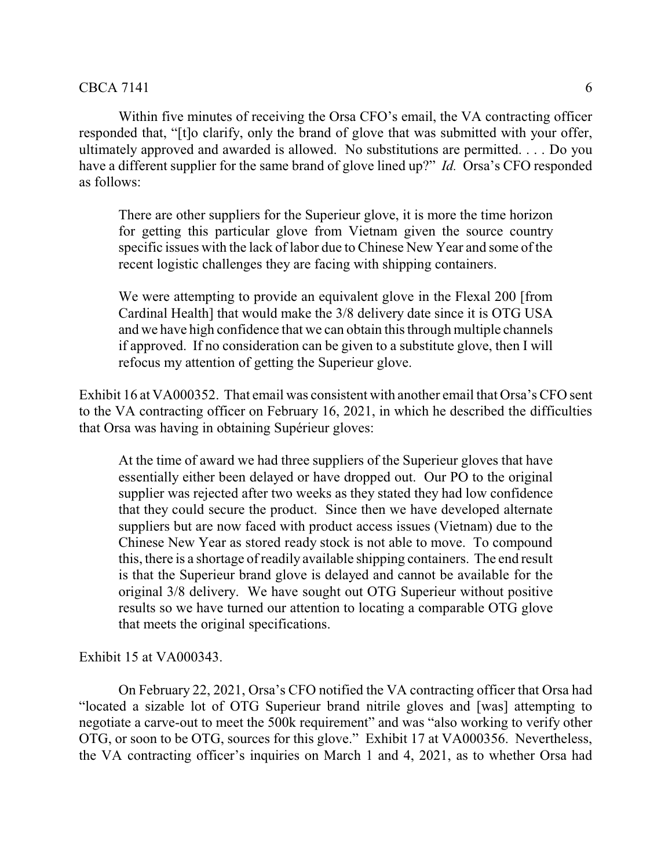Within five minutes of receiving the Orsa CFO's email, the VA contracting officer responded that, "[t]o clarify, only the brand of glove that was submitted with your offer, ultimately approved and awarded is allowed. No substitutions are permitted. . . . Do you have a different supplier for the same brand of glove lined up?" *Id.* Orsa's CFO responded as follows:

There are other suppliers for the Superieur glove, it is more the time horizon for getting this particular glove from Vietnam given the source country specific issues with the lack of labor due to Chinese New Year and some of the recent logistic challenges they are facing with shipping containers.

We were attempting to provide an equivalent glove in the Flexal 200 [from Cardinal Health] that would make the 3/8 delivery date since it is OTG USA and we have high confidence that we can obtain this through multiple channels if approved. If no consideration can be given to a substitute glove, then I will refocus my attention of getting the Superieur glove.

Exhibit 16 at VA000352. That email was consistent with another email that Orsa's CFO sent to the VA contracting officer on February 16, 2021, in which he described the difficulties that Orsa was having in obtaining Supérieur gloves:

At the time of award we had three suppliers of the Superieur gloves that have essentially either been delayed or have dropped out. Our PO to the original supplier was rejected after two weeks as they stated they had low confidence that they could secure the product. Since then we have developed alternate suppliers but are now faced with product access issues (Vietnam) due to the Chinese New Year as stored ready stock is not able to move. To compound this, there is a shortage of readily available shipping containers. The end result is that the Superieur brand glove is delayed and cannot be available for the original 3/8 delivery. We have sought out OTG Superieur without positive results so we have turned our attention to locating a comparable OTG glove that meets the original specifications.

# Exhibit 15 at VA000343.

On February 22, 2021, Orsa's CFO notified the VA contracting officer that Orsa had "located a sizable lot of OTG Superieur brand nitrile gloves and [was] attempting to negotiate a carve-out to meet the 500k requirement" and was "also working to verify other OTG, or soon to be OTG, sources for this glove." Exhibit 17 at VA000356. Nevertheless, the VA contracting officer's inquiries on March 1 and 4, 2021, as to whether Orsa had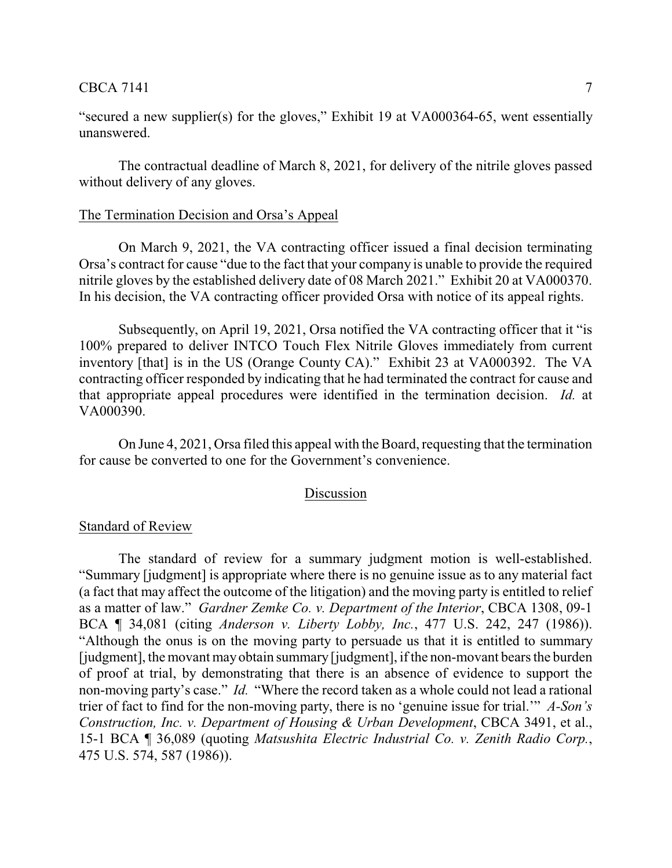# $\text{CBCA } 7141$   $\qquad \qquad$  7

"secured a new supplier(s) for the gloves," Exhibit 19 at VA000364-65, went essentially unanswered.

The contractual deadline of March 8, 2021, for delivery of the nitrile gloves passed without delivery of any gloves.

#### The Termination Decision and Orsa's Appeal

On March 9, 2021, the VA contracting officer issued a final decision terminating Orsa's contract for cause "due to the fact that your company is unable to provide the required nitrile gloves by the established delivery date of 08 March 2021." Exhibit 20 at VA000370. In his decision, the VA contracting officer provided Orsa with notice of its appeal rights.

Subsequently, on April 19, 2021, Orsa notified the VA contracting officer that it "is 100% prepared to deliver INTCO Touch Flex Nitrile Gloves immediately from current inventory [that] is in the US (Orange County CA)." Exhibit 23 at VA000392. The VA contracting officer responded by indicating that he had terminated the contract for cause and that appropriate appeal procedures were identified in the termination decision. *Id.* at VA000390.

On June 4, 2021, Orsa filed this appeal with the Board, requesting that the termination for cause be converted to one for the Government's convenience.

#### Discussion

#### Standard of Review

The standard of review for a summary judgment motion is well-established. "Summary [judgment] is appropriate where there is no genuine issue as to any material fact (a fact that may affect the outcome of the litigation) and the moving party is entitled to relief as a matter of law." *Gardner Zemke Co. v. Department of the Interior*, CBCA 1308, 09-1 BCA ¶ 34,081 (citing *Anderson v. Liberty Lobby, Inc.*, 477 U.S. 242, 247 (1986)). "Although the onus is on the moving party to persuade us that it is entitled to summary [judgment], the movant mayobtain summary [judgment], if the non-movant bears the burden of proof at trial, by demonstrating that there is an absence of evidence to support the non-moving party's case." *Id.* "Where the record taken as a whole could not lead a rational trier of fact to find for the non-moving party, there is no 'genuine issue for trial.'" *A-Son's Construction, Inc. v. Department of Housing & Urban Development*, CBCA 3491, et al., 15-1 BCA ¶ 36,089 (quoting *Matsushita Electric Industrial Co. v. Zenith Radio Corp.*, 475 U.S. 574, 587 (1986)).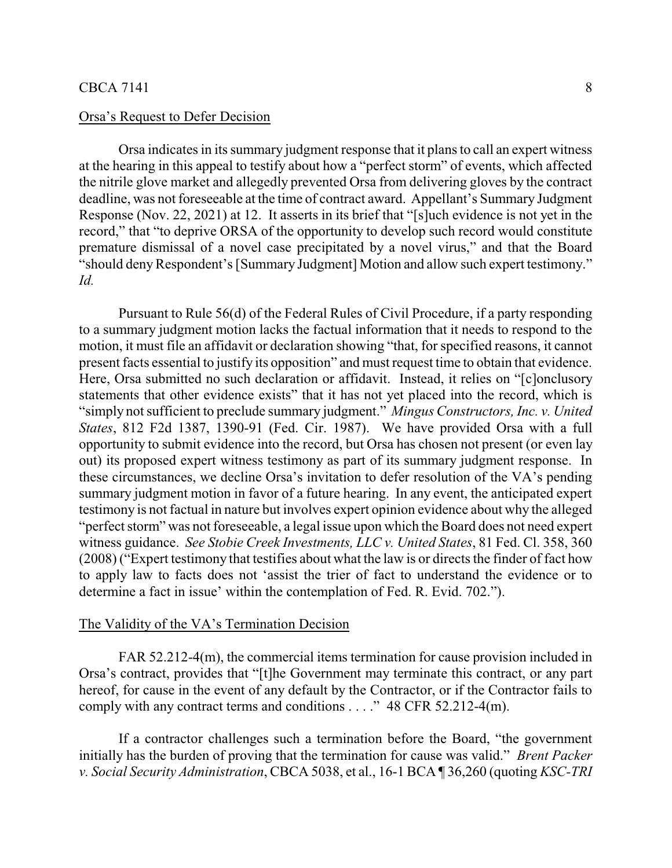# Orsa's Request to Defer Decision

Orsa indicates in its summary judgment response that it plans to call an expert witness at the hearing in this appeal to testify about how a "perfect storm" of events, which affected the nitrile glove market and allegedly prevented Orsa from delivering gloves by the contract deadline, was not foreseeable at the time of contract award. Appellant's Summary Judgment Response (Nov. 22, 2021) at 12. It asserts in its brief that "[s]uch evidence is not yet in the record," that "to deprive ORSA of the opportunity to develop such record would constitute premature dismissal of a novel case precipitated by a novel virus," and that the Board "should deny Respondent's [Summary Judgment] Motion and allow such expert testimony." *Id.*

Pursuant to Rule 56(d) of the Federal Rules of Civil Procedure, if a party responding to a summary judgment motion lacks the factual information that it needs to respond to the motion, it must file an affidavit or declaration showing "that, for specified reasons, it cannot present facts essential to justify its opposition" and must request time to obtain that evidence. Here, Orsa submitted no such declaration or affidavit. Instead, it relies on "[c]onclusory statements that other evidence exists" that it has not yet placed into the record, which is "simply not sufficient to preclude summary judgment." *Mingus Constructors, Inc. v. United States*, 812 F2d 1387, 1390-91 (Fed. Cir. 1987). We have provided Orsa with a full opportunity to submit evidence into the record, but Orsa has chosen not present (or even lay out) its proposed expert witness testimony as part of its summary judgment response. In these circumstances, we decline Orsa's invitation to defer resolution of the VA's pending summary judgment motion in favor of a future hearing. In any event, the anticipated expert testimony is not factual in nature but involves expert opinion evidence about why the alleged "perfect storm" was not foreseeable, a legal issue upon which the Board does not need expert witness guidance. *See Stobie Creek Investments, LLC v. United States*, 81 Fed. Cl. 358, 360 (2008) ("Expert testimony that testifies about what the law is or directs the finder of fact how to apply law to facts does not 'assist the trier of fact to understand the evidence or to determine a fact in issue' within the contemplation of Fed. R. Evid. 702.").

#### The Validity of the VA's Termination Decision

FAR 52.212-4(m), the commercial items termination for cause provision included in Orsa's contract, provides that "[t]he Government may terminate this contract, or any part hereof, for cause in the event of any default by the Contractor, or if the Contractor fails to comply with any contract terms and conditions . . . ." 48 CFR 52.212-4(m).

If a contractor challenges such a termination before the Board, "the government initially has the burden of proving that the termination for cause was valid." *Brent Packer v. Social Security Administration*, CBCA 5038, et al., 16-1 BCA ¶ 36,260 (quoting *KSC-TRI*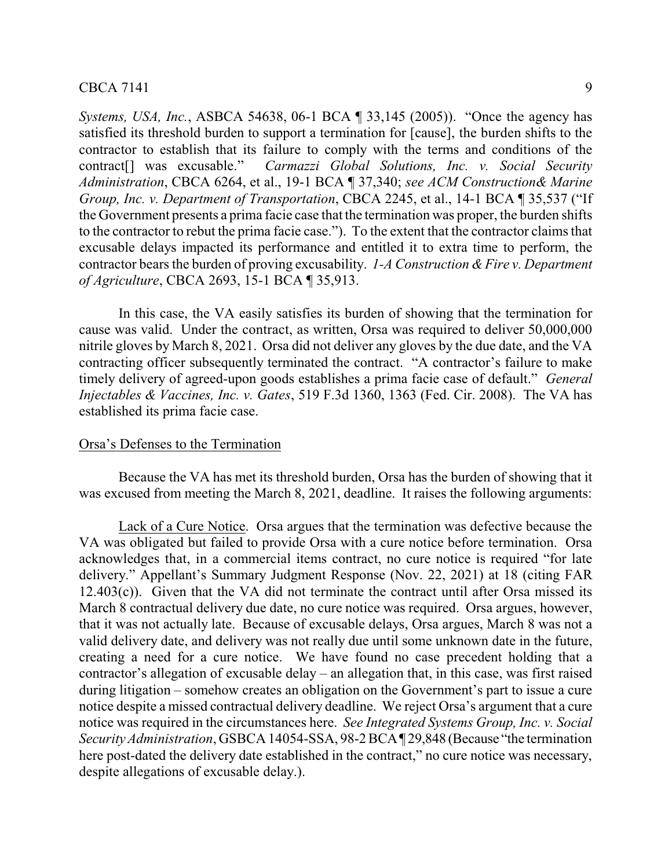*Systems, USA, Inc.*, ASBCA 54638, 06-1 BCA ¶ 33,145 (2005)). "Once the agency has satisfied its threshold burden to support a termination for [cause], the burden shifts to the contractor to establish that its failure to comply with the terms and conditions of the contract[] was excusable." *Carmazzi Global Solutions, Inc. v. Social Security Administration*, CBCA 6264, et al., 19-1 BCA ¶ 37,340; *see ACM Construction& Marine Group, Inc. v. Department of Transportation, CBCA 2245, et al., 14-1 BCA* 135,537 ("If the Government presents a prima facie case that the termination was proper, the burden shifts to the contractor to rebut the prima facie case."). To the extent that the contractor claims that excusable delays impacted its performance and entitled it to extra time to perform, the contractor bears the burden of proving excusability. *1-A Construction & Fire v. Department of Agriculture*, CBCA 2693, 15-1 BCA ¶ 35,913.

In this case, the VA easily satisfies its burden of showing that the termination for cause was valid. Under the contract, as written, Orsa was required to deliver 50,000,000 nitrile gloves by March 8, 2021. Orsa did not deliver any gloves by the due date, and the VA contracting officer subsequently terminated the contract. "A contractor's failure to make timely delivery of agreed-upon goods establishes a prima facie case of default." *General Injectables & Vaccines, Inc. v. Gates*, 519 F.3d 1360, 1363 (Fed. Cir. 2008). The VA has established its prima facie case.

#### Orsa's Defenses to the Termination

Because the VA has met its threshold burden, Orsa has the burden of showing that it was excused from meeting the March 8, 2021, deadline. It raises the following arguments:

Lack of a Cure Notice. Orsa argues that the termination was defective because the VA was obligated but failed to provide Orsa with a cure notice before termination. Orsa acknowledges that, in a commercial items contract, no cure notice is required "for late delivery." Appellant's Summary Judgment Response (Nov. 22, 2021) at 18 (citing FAR  $12.403(c)$ ). Given that the VA did not terminate the contract until after Orsa missed its March 8 contractual delivery due date, no cure notice was required. Orsa argues, however, that it was not actually late. Because of excusable delays, Orsa argues, March 8 was not a valid delivery date, and delivery was not really due until some unknown date in the future, creating a need for a cure notice. We have found no case precedent holding that a contractor's allegation of excusable delay – an allegation that, in this case, was first raised during litigation – somehow creates an obligation on the Government's part to issue a cure notice despite a missed contractual delivery deadline. We reject Orsa's argument that a cure notice was required in the circumstances here. *See Integrated Systems Group, Inc. v. Social Security Administration*, GSBCA 14054-SSA, 98-2 BCA¶ 29,848 (Because "the termination here post-dated the delivery date established in the contract," no cure notice was necessary, despite allegations of excusable delay.).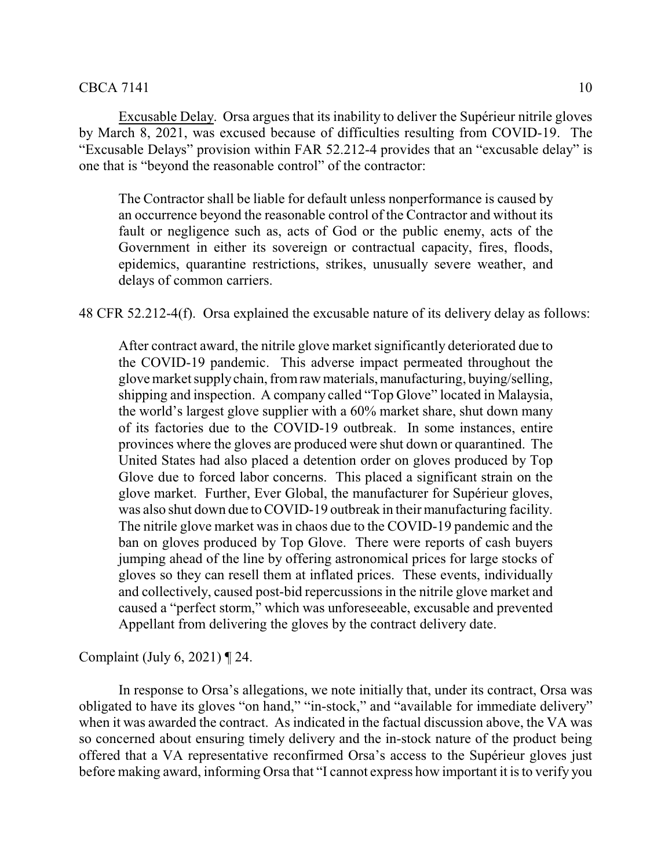Excusable Delay. Orsa argues that its inability to deliver the Supérieur nitrile gloves by March 8, 2021, was excused because of difficulties resulting from COVID-19. The "Excusable Delays" provision within FAR 52.212-4 provides that an "excusable delay" is one that is "beyond the reasonable control" of the contractor:

The Contractor shall be liable for default unless nonperformance is caused by an occurrence beyond the reasonable control of the Contractor and without its fault or negligence such as, acts of God or the public enemy, acts of the Government in either its sovereign or contractual capacity, fires, floods, epidemics, quarantine restrictions, strikes, unusually severe weather, and delays of common carriers.

48 CFR 52.212-4(f). Orsa explained the excusable nature of its delivery delay as follows:

After contract award, the nitrile glove market significantly deteriorated due to the COVID-19 pandemic. This adverse impact permeated throughout the glove market supplychain, fromraw materials,manufacturing, buying/selling, shipping and inspection. A company called "Top Glove" located in Malaysia, the world's largest glove supplier with a 60% market share, shut down many of its factories due to the COVID-19 outbreak. In some instances, entire provinces where the gloves are produced were shut down or quarantined. The United States had also placed a detention order on gloves produced by Top Glove due to forced labor concerns. This placed a significant strain on the glove market. Further, Ever Global, the manufacturer for Supérieur gloves, was also shut down due to COVID-19 outbreak in their manufacturing facility. The nitrile glove market was in chaos due to the COVID-19 pandemic and the ban on gloves produced by Top Glove. There were reports of cash buyers jumping ahead of the line by offering astronomical prices for large stocks of gloves so they can resell them at inflated prices. These events, individually and collectively, caused post-bid repercussions in the nitrile glove market and caused a "perfect storm," which was unforeseeable, excusable and prevented Appellant from delivering the gloves by the contract delivery date.

Complaint (July 6, 2021) ¶ 24.

In response to Orsa's allegations, we note initially that, under its contract, Orsa was obligated to have its gloves "on hand," "in-stock," and "available for immediate delivery" when it was awarded the contract. As indicated in the factual discussion above, the VA was so concerned about ensuring timely delivery and the in-stock nature of the product being offered that a VA representative reconfirmed Orsa's access to the Supérieur gloves just before making award, informing Orsa that "I cannot express how important it is to verify you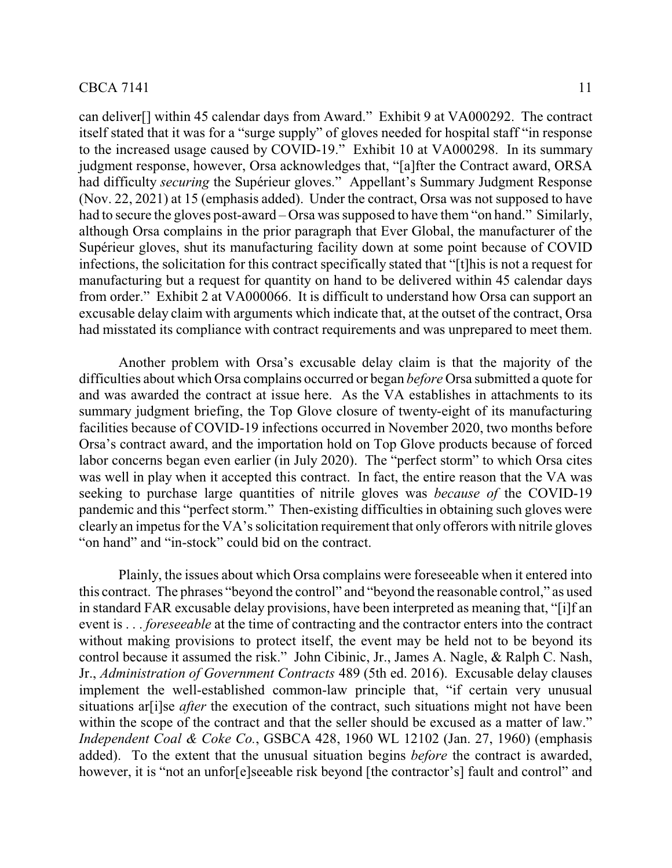itself stated that it was for a "surge supply" of gloves needed for hospital staff "in response to the increased usage caused by COVID-19." Exhibit 10 at VA000298. In its summary judgment response, however, Orsa acknowledges that, "[a]fter the Contract award, ORSA had difficulty *securing* the Supérieur gloves." Appellant's Summary Judgment Response (Nov. 22, 2021) at 15 (emphasis added). Under the contract, Orsa was not supposed to have had to secure the gloves post-award – Orsa was supposed to have them "on hand." Similarly, although Orsa complains in the prior paragraph that Ever Global, the manufacturer of the Supérieur gloves, shut its manufacturing facility down at some point because of COVID infections, the solicitation for this contract specifically stated that "[t]his is not a request for manufacturing but a request for quantity on hand to be delivered within 45 calendar days from order." Exhibit 2 at VA000066. It is difficult to understand how Orsa can support an excusable delay claim with arguments which indicate that, at the outset of the contract, Orsa had misstated its compliance with contract requirements and was unprepared to meet them.

Another problem with Orsa's excusable delay claim is that the majority of the difficulties about which Orsa complains occurred or began *before* Orsa submitted a quote for and was awarded the contract at issue here. As the VA establishes in attachments to its summary judgment briefing, the Top Glove closure of twenty-eight of its manufacturing facilities because of COVID-19 infections occurred in November 2020, two months before Orsa's contract award, and the importation hold on Top Glove products because of forced labor concerns began even earlier (in July 2020). The "perfect storm" to which Orsa cites was well in play when it accepted this contract. In fact, the entire reason that the VA was seeking to purchase large quantities of nitrile gloves was *because of* the COVID-19 pandemic and this "perfect storm." Then-existing difficulties in obtaining such gloves were clearly an impetus for the VA's solicitation requirement that only offerors with nitrile gloves "on hand" and "in-stock" could bid on the contract.

Plainly, the issues about which Orsa complains were foreseeable when it entered into this contract. The phrases "beyond the control" and "beyond the reasonable control," as used in standard FAR excusable delay provisions, have been interpreted as meaning that, "[i]f an event is . . . *foreseeable* at the time of contracting and the contractor enters into the contract without making provisions to protect itself, the event may be held not to be beyond its control because it assumed the risk." John Cibinic, Jr., James A. Nagle, & Ralph C. Nash, Jr., *Administration of Government Contracts* 489 (5th ed. 2016). Excusable delay clauses implement the well-established common-law principle that, "if certain very unusual situations ar<sup>[i]</sup>se *after* the execution of the contract, such situations might not have been within the scope of the contract and that the seller should be excused as a matter of law." *Independent Coal & Coke Co.*, GSBCA 428, 1960 WL 12102 (Jan. 27, 1960) (emphasis added). To the extent that the unusual situation begins *before* the contract is awarded, however, it is "not an unfor e seeable risk beyond [the contractor's] fault and control" and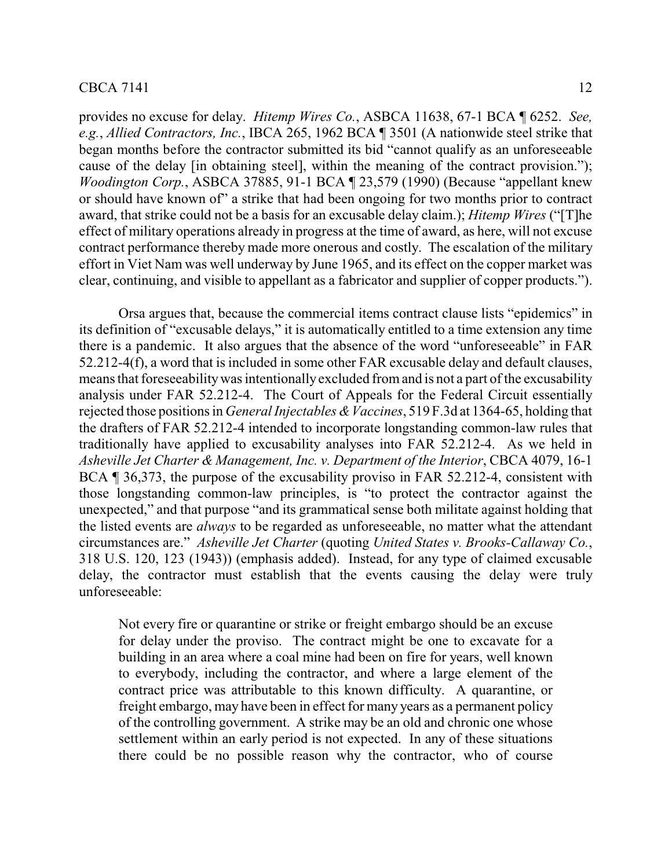provides no excuse for delay. *Hitemp Wires Co.*, ASBCA 11638, 67-1 BCA ¶ 6252. *See, e.g.*, *Allied Contractors, Inc.*, IBCA 265, 1962 BCA ¶ 3501 (A nationwide steel strike that began months before the contractor submitted its bid "cannot qualify as an unforeseeable cause of the delay [in obtaining steel], within the meaning of the contract provision."); *Woodington Corp.*, ASBCA 37885, 91-1 BCA ¶ 23,579 (1990) (Because "appellant knew or should have known of" a strike that had been ongoing for two months prior to contract award, that strike could not be a basis for an excusable delay claim.); *Hitemp Wires* ("[T]he effect of military operations already in progress at the time of award, as here, will not excuse contract performance thereby made more onerous and costly. The escalation of the military effort in Viet Nam was well underway by June 1965, and its effect on the copper market was clear, continuing, and visible to appellant as a fabricator and supplier of copper products.").

Orsa argues that, because the commercial items contract clause lists "epidemics" in its definition of "excusable delays," it is automatically entitled to a time extension any time there is a pandemic. It also argues that the absence of the word "unforeseeable" in FAR 52.212-4(f), a word that is included in some other FAR excusable delay and default clauses, means that foreseeabilitywas intentionallyexcluded fromand is not a part of the excusability analysis under FAR 52.212-4. The Court of Appeals for the Federal Circuit essentially rejected those positions in *General Injectables & Vaccines*, 519 F.3d at 1364-65, holding that the drafters of FAR 52.212-4 intended to incorporate longstanding common-law rules that traditionally have applied to excusability analyses into FAR 52.212-4. As we held in *Asheville Jet Charter & Management, Inc. v. Department of the Interior*, CBCA 4079, 16-1 BCA ¶ 36,373, the purpose of the excusability proviso in FAR 52.212-4, consistent with those longstanding common-law principles, is "to protect the contractor against the unexpected," and that purpose "and its grammatical sense both militate against holding that the listed events are *always* to be regarded as unforeseeable, no matter what the attendant circumstances are." *Asheville Jet Charter* (quoting *United States v. Brooks-Callaway Co.*, 318 U.S. 120, 123 (1943)) (emphasis added). Instead, for any type of claimed excusable delay, the contractor must establish that the events causing the delay were truly unforeseeable:

Not every fire or quarantine or strike or freight embargo should be an excuse for delay under the proviso. The contract might be one to excavate for a building in an area where a coal mine had been on fire for years, well known to everybody, including the contractor, and where a large element of the contract price was attributable to this known difficulty. A quarantine, or freight embargo, may have been in effect for many years as a permanent policy of the controlling government. A strike may be an old and chronic one whose settlement within an early period is not expected. In any of these situations there could be no possible reason why the contractor, who of course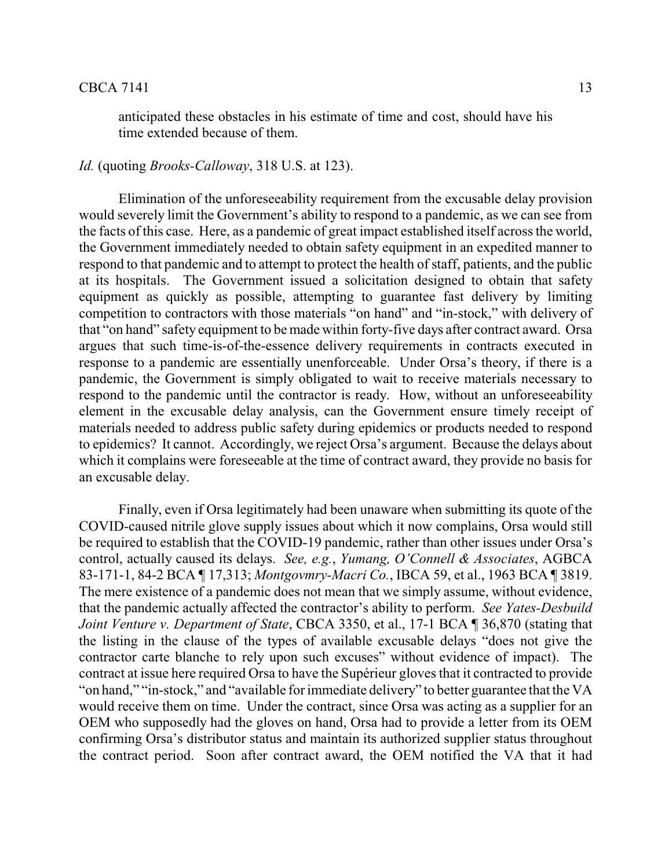anticipated these obstacles in his estimate of time and cost, should have his time extended because of them.

## *Id.* (quoting *Brooks-Calloway*, 318 U.S. at 123).

Elimination of the unforeseeability requirement from the excusable delay provision would severely limit the Government's ability to respond to a pandemic, as we can see from the facts of this case. Here, as a pandemic of great impact established itself across the world, the Government immediately needed to obtain safety equipment in an expedited manner to respond to that pandemic and to attempt to protect the health of staff, patients, and the public at its hospitals. The Government issued a solicitation designed to obtain that safety equipment as quickly as possible, attempting to guarantee fast delivery by limiting competition to contractors with those materials "on hand" and "in-stock," with delivery of that "on hand" safety equipment to be made within forty-five days after contract award. Orsa argues that such time-is-of-the-essence delivery requirements in contracts executed in response to a pandemic are essentially unenforceable. Under Orsa's theory, if there is a pandemic, the Government is simply obligated to wait to receive materials necessary to respond to the pandemic until the contractor is ready. How, without an unforeseeability element in the excusable delay analysis, can the Government ensure timely receipt of materials needed to address public safety during epidemics or products needed to respond to epidemics? It cannot. Accordingly, we reject Orsa's argument. Because the delays about which it complains were foreseeable at the time of contract award, they provide no basis for an excusable delay.

Finally, even if Orsa legitimately had been unaware when submitting its quote of the COVID-caused nitrile glove supply issues about which it now complains, Orsa would still be required to establish that the COVID-19 pandemic, rather than other issues under Orsa's control, actually caused its delays. *See, e.g.*, *Yumang, O'Connell & Associates*, AGBCA 83-171-1, 84-2 BCA ¶ 17,313; *Montgovmry-Macri Co.*, IBCA 59, et al., 1963 BCA ¶ 3819. The mere existence of a pandemic does not mean that we simply assume, without evidence, that the pandemic actually affected the contractor's ability to perform. *See Yates-Desbuild Joint Venture v. Department of State*, CBCA 3350, et al., 17-1 BCA ¶ 36,870 (stating that the listing in the clause of the types of available excusable delays "does not give the contractor carte blanche to rely upon such excuses" without evidence of impact). The contract at issue here required Orsa to have the Supérieur gloves that it contracted to provide "on hand," "in-stock," and "available for immediate delivery" to better guarantee that the VA would receive them on time. Under the contract, since Orsa was acting as a supplier for an OEM who supposedly had the gloves on hand, Orsa had to provide a letter from its OEM confirming Orsa's distributor status and maintain its authorized supplier status throughout the contract period. Soon after contract award, the OEM notified the VA that it had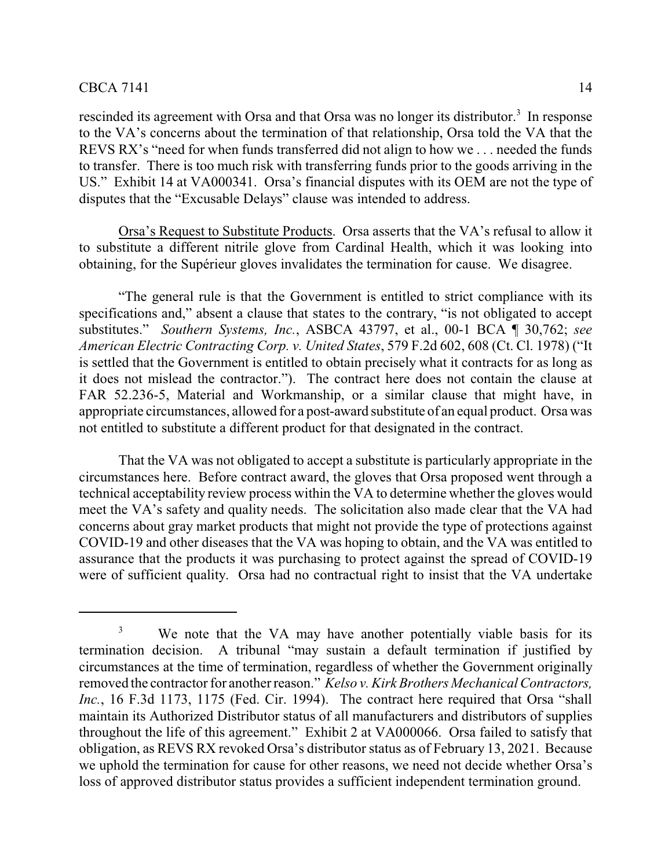rescinded its agreement with Orsa and that Orsa was no longer its distributor.<sup>3</sup> In response to the VA's concerns about the termination of that relationship, Orsa told the VA that the REVS RX's "need for when funds transferred did not align to how we . . . needed the funds to transfer. There is too much risk with transferring funds prior to the goods arriving in the US." Exhibit 14 at VA000341. Orsa's financial disputes with its OEM are not the type of disputes that the "Excusable Delays" clause was intended to address.

Orsa's Request to Substitute Products. Orsa asserts that the VA's refusal to allow it to substitute a different nitrile glove from Cardinal Health, which it was looking into obtaining, for the Supérieur gloves invalidates the termination for cause. We disagree.

"The general rule is that the Government is entitled to strict compliance with its specifications and," absent a clause that states to the contrary, "is not obligated to accept substitutes." *Southern Systems, Inc.*, ASBCA 43797, et al., 00-1 BCA ¶ 30,762; *see American Electric Contracting Corp. v. United States*, 579 F.2d 602, 608 (Ct. Cl. 1978) ("It is settled that the Government is entitled to obtain precisely what it contracts for as long as it does not mislead the contractor."). The contract here does not contain the clause at FAR 52.236-5, Material and Workmanship, or a similar clause that might have, in appropriate circumstances, allowed for a post-award substitute of an equal product. Orsa was not entitled to substitute a different product for that designated in the contract.

That the VA was not obligated to accept a substitute is particularly appropriate in the circumstances here. Before contract award, the gloves that Orsa proposed went through a technical acceptability review process within the VA to determine whether the gloves would meet the VA's safety and quality needs. The solicitation also made clear that the VA had concerns about gray market products that might not provide the type of protections against COVID-19 and other diseases that the VA was hoping to obtain, and the VA was entitled to assurance that the products it was purchasing to protect against the spread of COVID-19 were of sufficient quality. Orsa had no contractual right to insist that the VA undertake

<sup>&</sup>lt;sup>3</sup> We note that the VA may have another potentially viable basis for its termination decision. A tribunal "may sustain a default termination if justified by circumstances at the time of termination, regardless of whether the Government originally removed the contractor for another reason." *Kelso v. Kirk Brothers Mechanical Contractors, Inc.*, 16 F.3d 1173, 1175 (Fed. Cir. 1994). The contract here required that Orsa "shall maintain its Authorized Distributor status of all manufacturers and distributors of supplies throughout the life of this agreement." Exhibit 2 at VA000066. Orsa failed to satisfy that obligation, as REVS RX revoked Orsa's distributor status as of February 13, 2021. Because we uphold the termination for cause for other reasons, we need not decide whether Orsa's loss of approved distributor status provides a sufficient independent termination ground.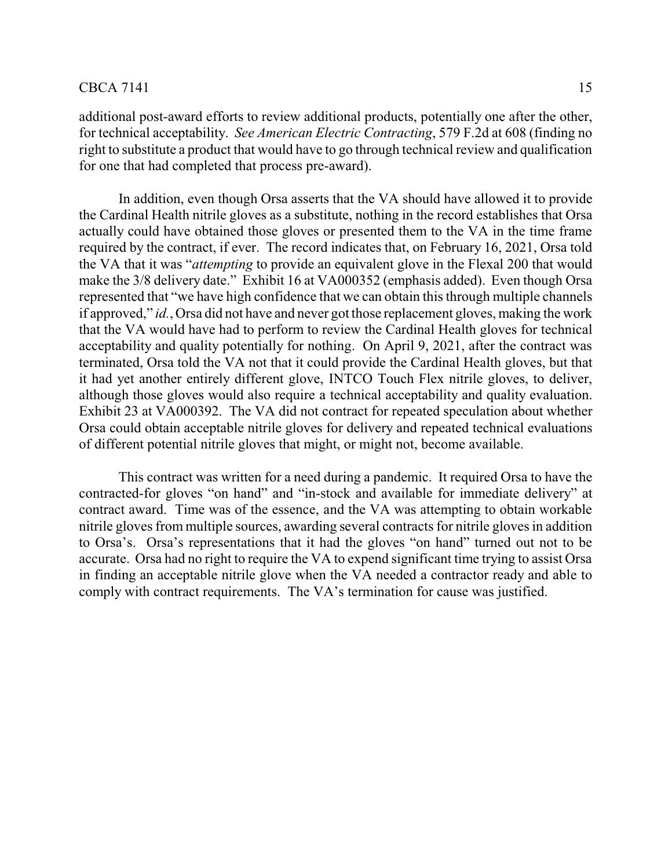additional post-award efforts to review additional products, potentially one after the other, for technical acceptability. *See American Electric Contracting*, 579 F.2d at 608 (finding no right to substitute a product that would have to go through technical review and qualification for one that had completed that process pre-award).

In addition, even though Orsa asserts that the VA should have allowed it to provide the Cardinal Health nitrile gloves as a substitute, nothing in the record establishes that Orsa actually could have obtained those gloves or presented them to the VA in the time frame required by the contract, if ever. The record indicates that, on February 16, 2021, Orsa told the VA that it was "*attempting* to provide an equivalent glove in the Flexal 200 that would make the 3/8 delivery date." Exhibit 16 at VA000352 (emphasis added). Even though Orsa represented that "we have high confidence that we can obtain this through multiple channels if approved," *id.*, Orsa did not have and never got those replacement gloves, making the work that the VA would have had to perform to review the Cardinal Health gloves for technical acceptability and quality potentially for nothing. On April 9, 2021, after the contract was terminated, Orsa told the VA not that it could provide the Cardinal Health gloves, but that it had yet another entirely different glove, INTCO Touch Flex nitrile gloves, to deliver, although those gloves would also require a technical acceptability and quality evaluation. Exhibit 23 at VA000392. The VA did not contract for repeated speculation about whether Orsa could obtain acceptable nitrile gloves for delivery and repeated technical evaluations of different potential nitrile gloves that might, or might not, become available.

This contract was written for a need during a pandemic. It required Orsa to have the contracted-for gloves "on hand" and "in-stock and available for immediate delivery" at contract award. Time was of the essence, and the VA was attempting to obtain workable nitrile gloves from multiple sources, awarding several contracts for nitrile gloves in addition to Orsa's. Orsa's representations that it had the gloves "on hand" turned out not to be accurate. Orsa had no right to require the VA to expend significant time trying to assist Orsa in finding an acceptable nitrile glove when the VA needed a contractor ready and able to comply with contract requirements. The VA's termination for cause was justified.